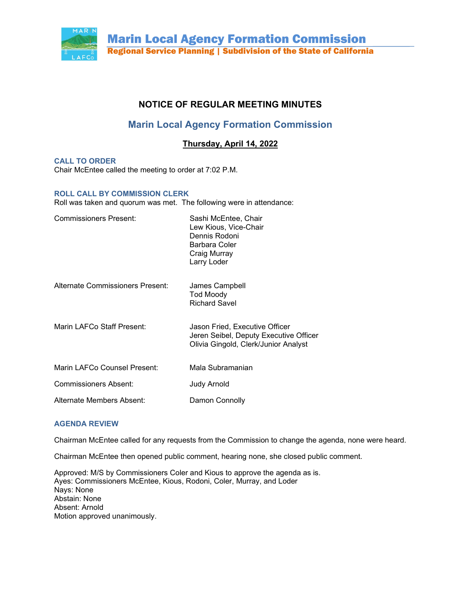

# **NOTICE OF REGULAR MEETING MINUTES**

# **Marin Local Agency Formation Commission**

# **Thursday, April 14, 2022**

**CALL TO ORDER** 

Chair McEntee called the meeting to order at 7:02 P.M.

# **ROLL CALL BY COMMISSION CLERK**

Roll was taken and quorum was met. The following were in attendance:

| <b>Commissioners Present:</b>           | Sashi McEntee, Chair<br>Lew Kious, Vice-Chair<br>Dennis Rodoni<br>Barbara Coler<br>Craig Murray<br>Larry Loder   |
|-----------------------------------------|------------------------------------------------------------------------------------------------------------------|
| <b>Alternate Commissioners Present:</b> | James Campbell<br><b>Tod Moody</b><br><b>Richard Savel</b>                                                       |
| Marin LAFCo Staff Present:              | Jason Fried, Executive Officer<br>Jeren Seibel, Deputy Executive Officer<br>Olivia Gingold, Clerk/Junior Analyst |
| Marin LAFCo Counsel Present:            | Mala Subramanian                                                                                                 |
| Commissioners Absent:                   | Judy Arnold                                                                                                      |
| Alternate Members Absent:               | Damon Connolly                                                                                                   |

# **AGENDA REVIEW**

Chairman McEntee called for any requests from the Commission to change the agenda, none were heard.

Chairman McEntee then opened public comment, hearing none, she closed public comment.

Approved: M/S by Commissioners Coler and Kious to approve the agenda as is. Ayes: Commissioners McEntee, Kious, Rodoni, Coler, Murray, and Loder Nays: None Abstain: None Absent: Arnold Motion approved unanimously.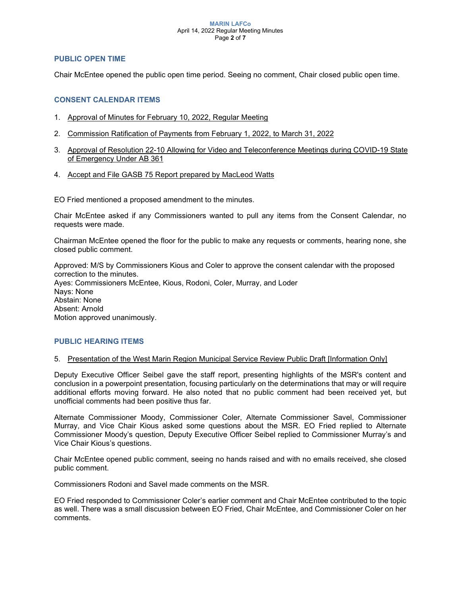#### **MARIN LAFCo** April 14, 2022 Regular Meeting Minutes Page **2** of **7**

# **PUBLIC OPEN TIME**

Chair McEntee opened the public open time period. Seeing no comment, Chair closed public open time.

# **CONSENT CALENDAR ITEMS**

- 1. Approval of Minutes for February 10, 2022, Regular Meeting
- 2. Commission Ratification of Payments from February 1, 2022, to March 31, 2022
- 3. Approval of Resolution 22-10 Allowing for Video and Teleconference Meetings during COVID-19 State of Emergency Under AB 361
- 4. Accept and File GASB 75 Report prepared by MacLeod Watts

EO Fried mentioned a proposed amendment to the minutes.

Chair McEntee asked if any Commissioners wanted to pull any items from the Consent Calendar, no requests were made.

Chairman McEntee opened the floor for the public to make any requests or comments, hearing none, she closed public comment.

Approved: M/S by Commissioners Kious and Coler to approve the consent calendar with the proposed correction to the minutes. Ayes: Commissioners McEntee, Kious, Rodoni, Coler, Murray, and Loder Nays: None Abstain: None Absent: Arnold Motion approved unanimously.

# **PUBLIC HEARING ITEMS**

# 5. Presentation of the West Marin Region Municipal Service Review Public Draft [Information Only]

Deputy Executive Officer Seibel gave the staff report, presenting highlights of the MSR's content and conclusion in a powerpoint presentation, focusing particularly on the determinations that may or will require additional efforts moving forward. He also noted that no public comment had been received yet, but unofficial comments had been positive thus far.

Alternate Commissioner Moody, Commissioner Coler, Alternate Commissioner Savel, Commissioner Murray, and Vice Chair Kious asked some questions about the MSR. EO Fried replied to Alternate Commissioner Moody's question, Deputy Executive Officer Seibel replied to Commissioner Murray's and Vice Chair Kious's questions.

Chair McEntee opened public comment, seeing no hands raised and with no emails received, she closed public comment.

Commissioners Rodoni and Savel made comments on the MSR.

EO Fried responded to Commissioner Coler's earlier comment and Chair McEntee contributed to the topic as well. There was a small discussion between EO Fried, Chair McEntee, and Commissioner Coler on her comments.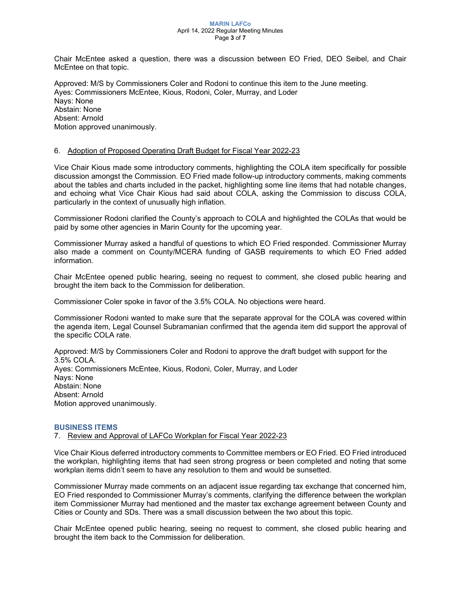#### **MARIN LAFCo** April 14, 2022 Regular Meeting Minutes Page **3** of **7**

Chair McEntee asked a question, there was a discussion between EO Fried, DEO Seibel, and Chair McEntee on that topic.

Approved: M/S by Commissioners Coler and Rodoni to continue this item to the June meeting. Ayes: Commissioners McEntee, Kious, Rodoni, Coler, Murray, and Loder Nays: None Abstain: None Absent: Arnold Motion approved unanimously.

# 6. Adoption of Proposed Operating Draft Budget for Fiscal Year 2022-23

Vice Chair Kious made some introductory comments, highlighting the COLA item specifically for possible discussion amongst the Commission. EO Fried made follow-up introductory comments, making comments about the tables and charts included in the packet, highlighting some line items that had notable changes, and echoing what Vice Chair Kious had said about COLA, asking the Commission to discuss COLA, particularly in the context of unusually high inflation.

Commissioner Rodoni clarified the County's approach to COLA and highlighted the COLAs that would be paid by some other agencies in Marin County for the upcoming year.

Commissioner Murray asked a handful of questions to which EO Fried responded. Commissioner Murray also made a comment on County/MCERA funding of GASB requirements to which EO Fried added information.

Chair McEntee opened public hearing, seeing no request to comment, she closed public hearing and brought the item back to the Commission for deliberation.

Commissioner Coler spoke in favor of the 3.5% COLA. No objections were heard.

Commissioner Rodoni wanted to make sure that the separate approval for the COLA was covered within the agenda item, Legal Counsel Subramanian confirmed that the agenda item did support the approval of the specific COLA rate.

Approved: M/S by Commissioners Coler and Rodoni to approve the draft budget with support for the 3.5% COLA. Ayes: Commissioners McEntee, Kious, Rodoni, Coler, Murray, and Loder Nays: None Abstain: None Absent: Arnold Motion approved unanimously.

# **BUSINESS ITEMS**

7. Review and Approval of LAFCo Workplan for Fiscal Year 2022-23

Vice Chair Kious deferred introductory comments to Committee members or EO Fried. EO Fried introduced the workplan, highlighting items that had seen strong progress or been completed and noting that some workplan items didn't seem to have any resolution to them and would be sunsetted.

Commissioner Murray made comments on an adjacent issue regarding tax exchange that concerned him, EO Fried responded to Commissioner Murray's comments, clarifying the difference between the workplan item Commissioner Murray had mentioned and the master tax exchange agreement between County and Cities or County and SDs. There was a small discussion between the two about this topic.

Chair McEntee opened public hearing, seeing no request to comment, she closed public hearing and brought the item back to the Commission for deliberation.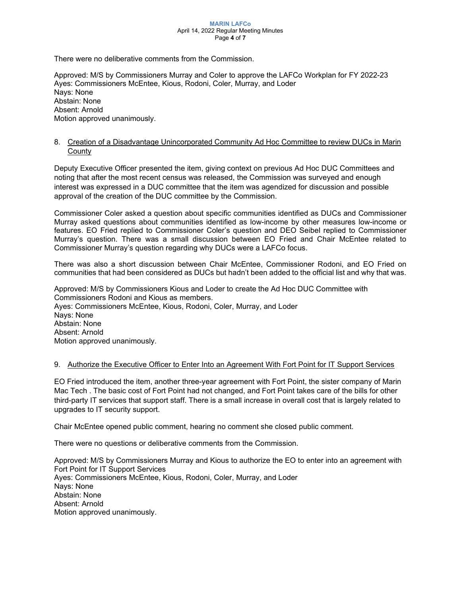#### **MARIN LAFCo** April 14, 2022 Regular Meeting Minutes Page **4** of **7**

There were no deliberative comments from the Commission.

Approved: M/S by Commissioners Murray and Coler to approve the LAFCo Workplan for FY 2022-23 Ayes: Commissioners McEntee, Kious, Rodoni, Coler, Murray, and Loder Nays: None Abstain: None Absent: Arnold Motion approved unanimously.

# 8. Creation of a Disadvantage Unincorporated Community Ad Hoc Committee to review DUCs in Marin **County**

Deputy Executive Officer presented the item, giving context on previous Ad Hoc DUC Committees and noting that after the most recent census was released, the Commission was surveyed and enough interest was expressed in a DUC committee that the item was agendized for discussion and possible approval of the creation of the DUC committee by the Commission.

Commissioner Coler asked a question about specific communities identified as DUCs and Commissioner Murray asked questions about communities identified as low-income by other measures low-income or features. EO Fried replied to Commissioner Coler's question and DEO Seibel replied to Commissioner Murray's question. There was a small discussion between EO Fried and Chair McEntee related to Commissioner Murray's question regarding why DUCs were a LAFCo focus.

There was also a short discussion between Chair McEntee, Commissioner Rodoni, and EO Fried on communities that had been considered as DUCs but hadn't been added to the official list and why that was.

Approved: M/S by Commissioners Kious and Loder to create the Ad Hoc DUC Committee with Commissioners Rodoni and Kious as members. Ayes: Commissioners McEntee, Kious, Rodoni, Coler, Murray, and Loder Nays: None Abstain: None Absent: Arnold Motion approved unanimously.

# 9. Authorize the Executive Officer to Enter Into an Agreement With Fort Point for IT Support Services

EO Fried introduced the item, another three-year agreement with Fort Point, the sister company of Marin Mac Tech . The basic cost of Fort Point had not changed, and Fort Point takes care of the bills for other third-party IT services that support staff. There is a small increase in overall cost that is largely related to upgrades to IT security support.

Chair McEntee opened public comment, hearing no comment she closed public comment.

There were no questions or deliberative comments from the Commission.

Approved: M/S by Commissioners Murray and Kious to authorize the EO to enter into an agreement with Fort Point for IT Support Services Ayes: Commissioners McEntee, Kious, Rodoni, Coler, Murray, and Loder Nays: None Abstain: None Absent: Arnold Motion approved unanimously.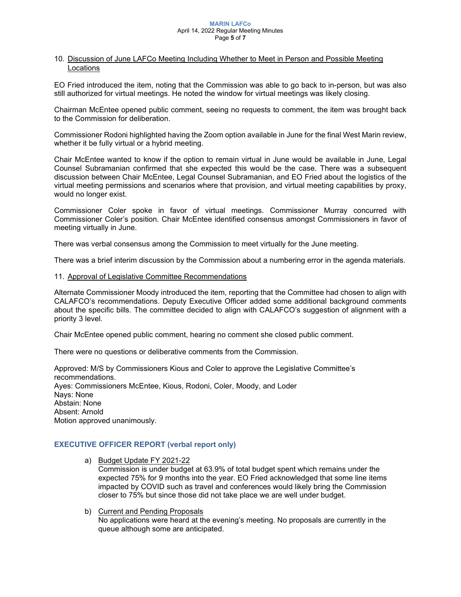#### **MARIN LAFCo** April 14, 2022 Regular Meeting Minutes Page **5** of **7**

# 10. Discussion of June LAFCo Meeting Including Whether to Meet in Person and Possible Meeting Locations

EO Fried introduced the item, noting that the Commission was able to go back to in-person, but was also still authorized for virtual meetings. He noted the window for virtual meetings was likely closing.

Chairman McEntee opened public comment, seeing no requests to comment, the item was brought back to the Commission for deliberation.

Commissioner Rodoni highlighted having the Zoom option available in June for the final West Marin review, whether it be fully virtual or a hybrid meeting.

Chair McEntee wanted to know if the option to remain virtual in June would be available in June, Legal Counsel Subramanian confirmed that she expected this would be the case. There was a subsequent discussion between Chair McEntee, Legal Counsel Subramanian, and EO Fried about the logistics of the virtual meeting permissions and scenarios where that provision, and virtual meeting capabilities by proxy, would no longer exist.

Commissioner Coler spoke in favor of virtual meetings. Commissioner Murray concurred with Commissioner Coler's position. Chair McEntee identified consensus amongst Commissioners in favor of meeting virtually in June.

There was verbal consensus among the Commission to meet virtually for the June meeting.

There was a brief interim discussion by the Commission about a numbering error in the agenda materials.

11. Approval of Legislative Committee Recommendations

Alternate Commissioner Moody introduced the item, reporting that the Committee had chosen to align with CALAFCO's recommendations. Deputy Executive Officer added some additional background comments about the specific bills. The committee decided to align with CALAFCO's suggestion of alignment with a priority 3 level.

Chair McEntee opened public comment, hearing no comment she closed public comment.

There were no questions or deliberative comments from the Commission.

Approved: M/S by Commissioners Kious and Coler to approve the Legislative Committee's recommendations. Ayes: Commissioners McEntee, Kious, Rodoni, Coler, Moody, and Loder Nays: None Abstain: None Absent: Arnold Motion approved unanimously.

# **EXECUTIVE OFFICER REPORT (verbal report only)**

a) Budget Update FY 2021-22

Commission is under budget at 63.9% of total budget spent which remains under the expected 75% for 9 months into the year. EO Fried acknowledged that some line items impacted by COVID such as travel and conferences would likely bring the Commission closer to 75% but since those did not take place we are well under budget.

b) Current and Pending Proposals No applications were heard at the evening's meeting. No proposals are currently in the queue although some are anticipated.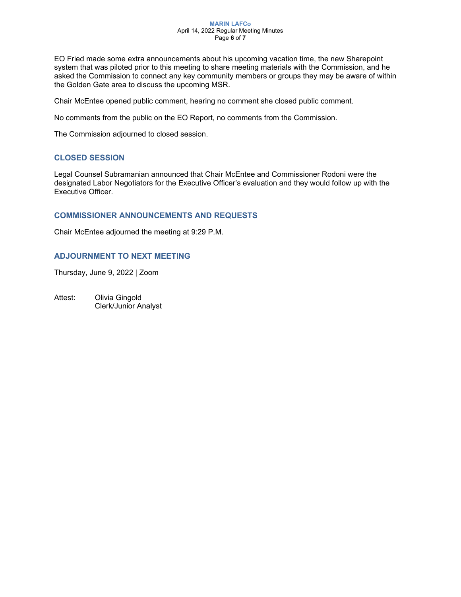#### **MARIN LAFCo** April 14, 2022 Regular Meeting Minutes Page **6** of **7**

EO Fried made some extra announcements about his upcoming vacation time, the new Sharepoint system that was piloted prior to this meeting to share meeting materials with the Commission, and he asked the Commission to connect any key community members or groups they may be aware of within the Golden Gate area to discuss the upcoming MSR.

Chair McEntee opened public comment, hearing no comment she closed public comment.

No comments from the public on the EO Report, no comments from the Commission.

The Commission adjourned to closed session.

# **CLOSED SESSION**

Legal Counsel Subramanian announced that Chair McEntee and Commissioner Rodoni were the designated Labor Negotiators for the Executive Officer's evaluation and they would follow up with the Executive Officer.

# **COMMISSIONER ANNOUNCEMENTS AND REQUESTS**

Chair McEntee adjourned the meeting at 9:29 P.M.

# **ADJOURNMENT TO NEXT MEETING**

Thursday, June 9, 2022 | Zoom

Attest: Olivia Gingold Clerk/Junior Analyst